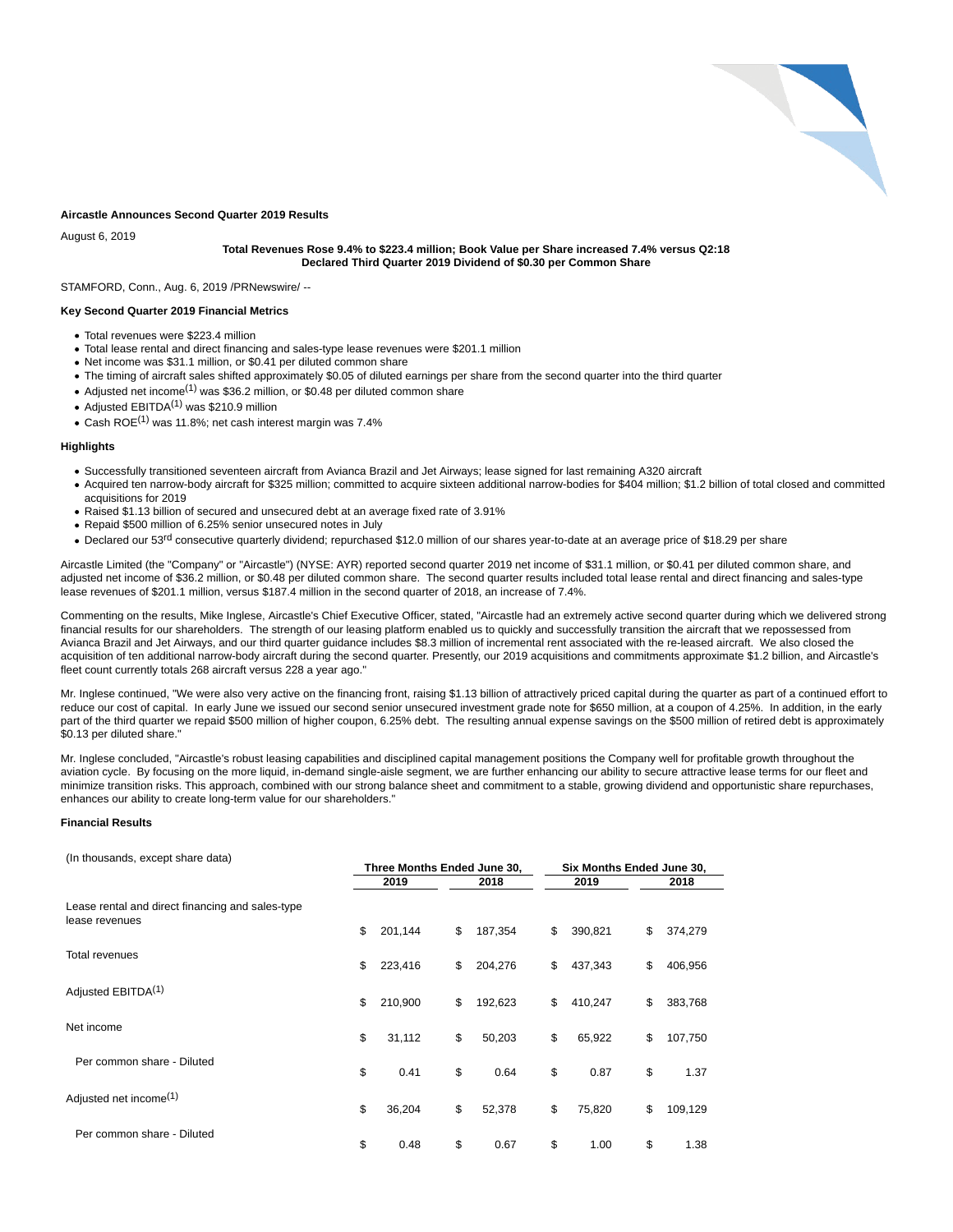

# **Aircastle Announces Second Quarter 2019 Results**

August 6, 2019

**Total Revenues Rose 9.4% to \$223.4 million; Book Value per Share increased 7.4% versus Q2:18 Declared Third Quarter 2019 Dividend of \$0.30 per Common Share**

STAMFORD, Conn., Aug. 6, 2019 /PRNewswire/ --

### **Key Second Quarter 2019 Financial Metrics**

- Total revenues were \$223.4 million
- Total lease rental and direct financing and sales-type lease revenues were \$201.1 million
- Net income was \$31.1 million, or \$0.41 per diluted common share
- The timing of aircraft sales shifted approximately \$0.05 of diluted earnings per share from the second quarter into the third quarter
- Adjusted net income<sup>(1)</sup> was \$36.2 million, or \$0.48 per diluted common share
- $\bullet$  Adjusted EBITDA<sup>(1)</sup> was \$210.9 million
- $\bullet$  Cash ROE<sup>(1)</sup> was 11.8%; net cash interest margin was 7.4%

### **Highlights**

- Successfully transitioned seventeen aircraft from Avianca Brazil and Jet Airways; lease signed for last remaining A320 aircraft
- Acquired ten narrow-body aircraft for \$325 million; committed to acquire sixteen additional narrow-bodies for \$404 million; \$1.2 billion of total closed and committed acquisitions for 2019
- Raised \$1.13 billion of secured and unsecured debt at an average fixed rate of 3.91%
- Repaid \$500 million of 6.25% senior unsecured notes in July
- Declared our 53<sup>rd</sup> consecutive quarterly dividend; repurchased \$12.0 million of our shares year-to-date at an average price of \$18.29 per share

Aircastle Limited (the "Company" or "Aircastle") (NYSE: AYR) reported second quarter 2019 net income of \$31.1 million, or \$0.41 per diluted common share, and adjusted net income of \$36.2 million, or \$0.48 per diluted common share. The second quarter results included total lease rental and direct financing and sales-type lease revenues of \$201.1 million, versus \$187.4 million in the second quarter of 2018, an increase of 7.4%.

Commenting on the results, Mike Inglese, Aircastle's Chief Executive Officer, stated, "Aircastle had an extremely active second quarter during which we delivered strong financial results for our shareholders. The strength of our leasing platform enabled us to quickly and successfully transition the aircraft that we repossessed from Avianca Brazil and Jet Airways, and our third quarter guidance includes \$8.3 million of incremental rent associated with the re-leased aircraft. We also closed the acquisition of ten additional narrow-body aircraft during the second quarter. Presently, our 2019 acquisitions and commitments approximate \$1.2 billion, and Aircastle's fleet count currently totals 268 aircraft versus 228 a year ago."

Mr. Inglese continued, "We were also very active on the financing front, raising \$1.13 billion of attractively priced capital during the quarter as part of a continued effort to reduce our cost of capital. In early June we issued our second senior unsecured investment grade note for \$650 million, at a coupon of 4.25%. In addition, in the early part of the third quarter we repaid \$500 million of higher coupon, 6.25% debt. The resulting annual expense savings on the \$500 million of retired debt is approximately \$0.13 per diluted share."

Mr. Inglese concluded, "Aircastle's robust leasing capabilities and disciplined capital management positions the Company well for profitable growth throughout the aviation cycle. By focusing on the more liquid, in-demand single-aisle segment, we are further enhancing our ability to secure attractive lease terms for our fleet and minimize transition risks. This approach, combined with our strong balance sheet and commitment to a stable, growing dividend and opportunistic share repurchases, enhances our ability to create long-term value for our shareholders."

# **Financial Results**

| (In thousands, except share data)                                  | Three Months Ended June 30, |    |         |      | Six Months Ended June 30, |    |         |      |
|--------------------------------------------------------------------|-----------------------------|----|---------|------|---------------------------|----|---------|------|
|                                                                    | 2019<br>2018                |    |         | 2019 |                           |    |         | 2018 |
| Lease rental and direct financing and sales-type<br>lease revenues | \$<br>201,144               | \$ | 187,354 | \$   | 390,821                   | \$ | 374,279 |      |
| <b>Total revenues</b>                                              | \$<br>223,416               | \$ | 204,276 | \$   | 437,343                   | \$ | 406,956 |      |
| Adjusted EBITDA <sup>(1)</sup>                                     | \$<br>210,900               | \$ | 192,623 | \$   | 410,247                   | \$ | 383,768 |      |
| Net income                                                         | \$<br>31,112                | \$ | 50,203  | \$   | 65,922                    | \$ | 107,750 |      |
| Per common share - Diluted                                         | \$<br>0.41                  | \$ | 0.64    | \$   | 0.87                      | \$ | 1.37    |      |
| Adjusted net income <sup>(1)</sup>                                 | \$<br>36,204                | \$ | 52,378  | \$   | 75,820                    | \$ | 109,129 |      |
| Per common share - Diluted                                         | \$<br>0.48                  | \$ | 0.67    | \$   | 1.00                      | \$ | 1.38    |      |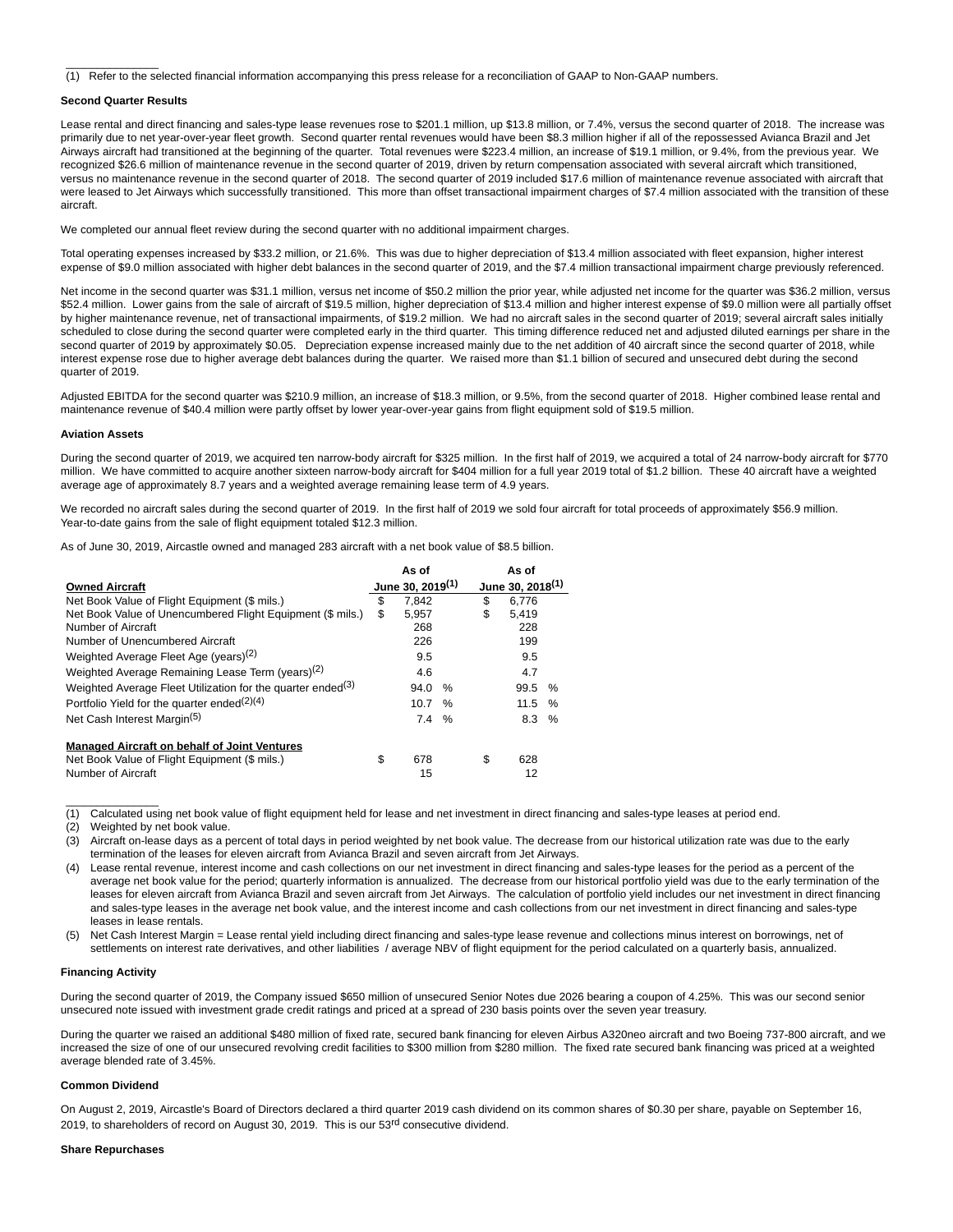(1) Refer to the selected financial information accompanying this press release for a reconciliation of GAAP to Non-GAAP numbers.

## **Second Quarter Results**

 $\overline{\phantom{a}}$ 

Lease rental and direct financing and sales-type lease revenues rose to \$201.1 million, up \$13.8 million, or 7.4%, versus the second quarter of 2018. The increase was primarily due to net year-over-year fleet growth. Second quarter rental revenues would have been \$8.3 million higher if all of the repossessed Avianca Brazil and Jet Airways aircraft had transitioned at the beginning of the quarter. Total revenues were \$223.4 million, an increase of \$19.1 million, or 9.4%, from the previous year. We recognized \$26.6 million of maintenance revenue in the second quarter of 2019, driven by return compensation associated with several aircraft which transitioned, versus no maintenance revenue in the second quarter of 2018. The second quarter of 2019 included \$17.6 million of maintenance revenue associated with aircraft that were leased to Jet Airways which successfully transitioned. This more than offset transactional impairment charges of \$7.4 million associated with the transition of these aircraft.

We completed our annual fleet review during the second quarter with no additional impairment charges.

Total operating expenses increased by \$33.2 million, or 21.6%. This was due to higher depreciation of \$13.4 million associated with fleet expansion, higher interest expense of \$9.0 million associated with higher debt balances in the second quarter of 2019, and the \$7.4 million transactional impairment charge previously referenced.

Net income in the second quarter was \$31.1 million, versus net income of \$50.2 million the prior year, while adjusted net income for the quarter was \$36.2 million, versus \$52.4 million. Lower gains from the sale of aircraft of \$19.5 million, higher depreciation of \$13.4 million and higher interest expense of \$9.0 million were all partially offset by higher maintenance revenue, net of transactional impairments, of \$19.2 million. We had no aircraft sales in the second quarter of 2019; several aircraft sales initially scheduled to close during the second quarter were completed early in the third quarter. This timing difference reduced net and adjusted diluted earnings per share in the second quarter of 2019 by approximately \$0.05. Depreciation expense increased mainly due to the net addition of 40 aircraft since the second quarter of 2018, while interest expense rose due to higher average debt balances during the quarter. We raised more than \$1.1 billion of secured and unsecured debt during the second quarter of 2019.

Adjusted EBITDA for the second quarter was \$210.9 million, an increase of \$18.3 million, or 9.5%, from the second quarter of 2018. Higher combined lease rental and maintenance revenue of \$40.4 million were partly offset by lower year-over-year gains from flight equipment sold of \$19.5 million.

### **Aviation Assets**

During the second quarter of 2019, we acquired ten narrow-body aircraft for \$325 million. In the first half of 2019, we acquired a total of 24 narrow-body aircraft for \$770 million. We have committed to acquire another sixteen narrow-body aircraft for \$404 million for a full year 2019 total of \$1.2 billion. These 40 aircraft have a weighted average age of approximately 8.7 years and a weighted average remaining lease term of 4.9 years.

We recorded no aircraft sales during the second quarter of 2019. In the first half of 2019 we sold four aircraft for total proceeds of approximately \$56.9 million. Year-to-date gains from the sale of flight equipment totaled \$12.3 million.

As of June 30, 2019, Aircastle owned and managed 283 aircraft with a net book value of \$8.5 billion.

|                                                                         | As of |                              |      |    |                              |      |
|-------------------------------------------------------------------------|-------|------------------------------|------|----|------------------------------|------|
| <b>Owned Aircraft</b>                                                   |       | June 30, 2019 <sup>(1)</sup> |      |    | June 30, 2018 <sup>(1)</sup> |      |
| Net Book Value of Flight Equipment (\$ mils.)                           | \$    | 7.842                        |      | \$ | 6.776                        |      |
| Net Book Value of Unencumbered Flight Equipment (\$ mils.)              | \$    | 5.957                        |      | \$ | 5.419                        |      |
| Number of Aircraft                                                      |       | 268                          |      |    | 228                          |      |
| Number of Unencumbered Aircraft                                         |       | 226                          |      |    | 199                          |      |
| Weighted Average Fleet Age (years) <sup>(2)</sup>                       |       | 9.5                          |      |    | 9.5                          |      |
| Weighted Average Remaining Lease Term (years) <sup>(2)</sup>            |       | 4.6                          |      |    | 4.7                          |      |
| Weighted Average Fleet Utilization for the quarter ended <sup>(3)</sup> |       | 94.0                         | $\%$ |    | 99.5                         | %    |
| Portfolio Yield for the quarter ended <sup>(2)(4)</sup>                 |       | 10.7                         | $\%$ |    | 11.5                         | $\%$ |
| Net Cash Interest Margin <sup>(5)</sup>                                 |       | 7.4                          | %    |    | $8.3\%$                      |      |
| <b>Managed Aircraft on behalf of Joint Ventures</b>                     |       |                              |      |    |                              |      |
| Net Book Value of Flight Equipment (\$ mils.)                           | \$    | 678                          |      | \$ | 628                          |      |
| Number of Aircraft                                                      |       | 15                           |      |    | 12                           |      |

(1) Calculated using net book value of flight equipment held for lease and net investment in direct financing and sales-type leases at period end.

(2) Weighted by net book value.

 $\overline{\phantom{a}}$  , where the contract of  $\overline{\phantom{a}}$ 

- (3) Aircraft on-lease days as a percent of total days in period weighted by net book value. The decrease from our historical utilization rate was due to the early termination of the leases for eleven aircraft from Avianca Brazil and seven aircraft from Jet Airways.
- (4) Lease rental revenue, interest income and cash collections on our net investment in direct financing and sales-type leases for the period as a percent of the average net book value for the period; quarterly information is annualized. The decrease from our historical portfolio yield was due to the early termination of the leases for eleven aircraft from Avianca Brazil and seven aircraft from Jet Airways. The calculation of portfolio yield includes our net investment in direct financing and sales-type leases in the average net book value, and the interest income and cash collections from our net investment in direct financing and sales-type leases in lease rentals.

(5) Net Cash Interest Margin = Lease rental yield including direct financing and sales-type lease revenue and collections minus interest on borrowings, net of settlements on interest rate derivatives, and other liabilities / average NBV of flight equipment for the period calculated on a quarterly basis, annualized.

### **Financing Activity**

During the second quarter of 2019, the Company issued \$650 million of unsecured Senior Notes due 2026 bearing a coupon of 4.25%. This was our second senior unsecured note issued with investment grade credit ratings and priced at a spread of 230 basis points over the seven year treasury.

During the quarter we raised an additional \$480 million of fixed rate, secured bank financing for eleven Airbus A320neo aircraft and two Boeing 737-800 aircraft, and we increased the size of one of our unsecured revolving credit facilities to \$300 million from \$280 million. The fixed rate secured bank financing was priced at a weighted average blended rate of 3.45%.

### **Common Dividend**

On August 2, 2019, Aircastle's Board of Directors declared a third quarter 2019 cash dividend on its common shares of \$0.30 per share, payable on September 16, 2019, to shareholders of record on August 30, 2019. This is our 53<sup>rd</sup> consecutive dividend.

#### **Share Repurchases**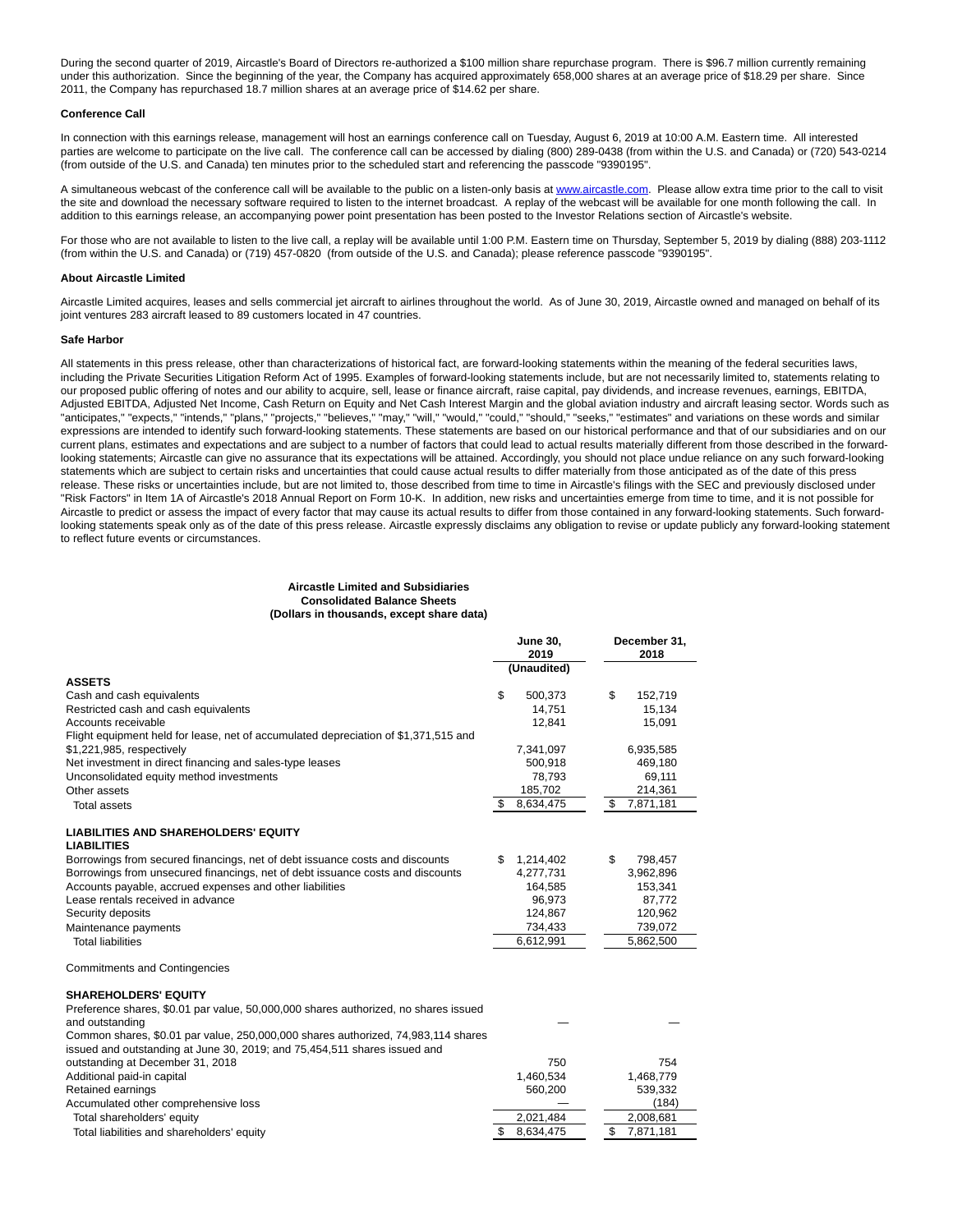During the second quarter of 2019, Aircastle's Board of Directors re-authorized a \$100 million share repurchase program. There is \$96.7 million currently remaining under this authorization. Since the beginning of the year, the Company has acquired approximately 658,000 shares at an average price of \$18.29 per share. Since 2011, the Company has repurchased 18.7 million shares at an average price of \$14.62 per share.

### **Conference Call**

In connection with this earnings release, management will host an earnings conference call on Tuesday, August 6, 2019 at 10:00 A.M. Eastern time. All interested parties are welcome to participate on the live call. The conference call can be accessed by dialing (800) 289-0438 (from within the U.S. and Canada) or (720) 543-0214 (from outside of the U.S. and Canada) ten minutes prior to the scheduled start and referencing the passcode "9390195".

A simultaneous webcast of the conference call will be available to the public on a listen-only basis at [www.aircastle.com.](https://c212.net/c/link/?t=0&l=en&o=2543872-1&h=2921304106&u=http%3A%2F%2Fwww.aircastle.com%2F&a=www.aircastle.com) Please allow extra time prior to the call to visit the site and download the necessary software required to listen to the internet broadcast. A replay of the webcast will be available for one month following the call. In addition to this earnings release, an accompanying power point presentation has been posted to the Investor Relations section of Aircastle's website.

For those who are not available to listen to the live call, a replay will be available until 1:00 P.M. Eastern time on Thursday, September 5, 2019 by dialing (888) 203-1112 (from within the U.S. and Canada) or (719) 457-0820 (from outside of the U.S. and Canada); please reference passcode "9390195".

### **About Aircastle Limited**

Aircastle Limited acquires, leases and sells commercial jet aircraft to airlines throughout the world. As of June 30, 2019, Aircastle owned and managed on behalf of its joint ventures 283 aircraft leased to 89 customers located in 47 countries.

#### **Safe Harbor**

All statements in this press release, other than characterizations of historical fact, are forward-looking statements within the meaning of the federal securities laws, including the Private Securities Litigation Reform Act of 1995. Examples of forward-looking statements include, but are not necessarily limited to, statements relating to our proposed public offering of notes and our ability to acquire, sell, lease or finance aircraft, raise capital, pay dividends, and increase revenues, earnings, EBITDA, Adjusted EBITDA, Adjusted Net Income, Cash Return on Equity and Net Cash Interest Margin and the global aviation industry and aircraft leasing sector. Words such as "anticipates," "expects," "intends," "plans," "projects," "believes," "may," "will," "would," "could," "should," "seeks," "estimates" and variations on these words and similar expressions are intended to identify such forward-looking statements. These statements are based on our historical performance and that of our subsidiaries and on our current plans, estimates and expectations and are subject to a number of factors that could lead to actual results materially different from those described in the forwardlooking statements; Aircastle can give no assurance that its expectations will be attained. Accordingly, you should not place undue reliance on any such forward-looking statements which are subject to certain risks and uncertainties that could cause actual results to differ materially from those anticipated as of the date of this press release. These risks or uncertainties include, but are not limited to, those described from time to time in Aircastle's filings with the SEC and previously disclosed under "Risk Factors" in Item 1A of Aircastle's 2018 Annual Report on Form 10-K. In addition, new risks and uncertainties emerge from time to time, and it is not possible for Aircastle to predict or assess the impact of every factor that may cause its actual results to differ from those contained in any forward-looking statements. Such forwardlooking statements speak only as of the date of this press release. Aircastle expressly disclaims any obligation to revise or update publicly any forward-looking statement to reflect future events or circumstances.

### **Aircastle Limited and Subsidiaries Consolidated Balance Sheets (Dollars in thousands, except share data)**

|                                                                                                                                                                | <b>June 30,</b><br>2019 |             | December 31,<br>2018 |
|----------------------------------------------------------------------------------------------------------------------------------------------------------------|-------------------------|-------------|----------------------|
|                                                                                                                                                                |                         | (Unaudited) |                      |
| <b>ASSETS</b>                                                                                                                                                  |                         |             |                      |
| Cash and cash equivalents                                                                                                                                      | \$                      | 500,373     | \$<br>152,719        |
| Restricted cash and cash equivalents                                                                                                                           |                         | 14,751      | 15,134               |
| Accounts receivable                                                                                                                                            |                         | 12,841      | 15,091               |
| Flight equipment held for lease, net of accumulated depreciation of \$1,371,515 and                                                                            |                         |             |                      |
| \$1,221,985, respectively                                                                                                                                      |                         | 7,341,097   | 6,935,585            |
| Net investment in direct financing and sales-type leases                                                                                                       |                         | 500.918     | 469,180              |
| Unconsolidated equity method investments                                                                                                                       |                         | 78,793      | 69,111               |
| Other assets                                                                                                                                                   |                         | 185,702     | 214,361              |
| <b>Total assets</b>                                                                                                                                            | -\$                     | 8,634,475   | \$<br>7,871,181      |
| <b>LIABILITIES AND SHAREHOLDERS' EQUITY</b><br><b>LIABILITIES</b>                                                                                              |                         |             |                      |
| Borrowings from secured financings, net of debt issuance costs and discounts                                                                                   | \$                      | 1,214,402   | \$<br>798,457        |
| Borrowings from unsecured financings, net of debt issuance costs and discounts                                                                                 |                         | 4,277,731   | 3,962,896            |
| Accounts payable, accrued expenses and other liabilities                                                                                                       |                         | 164,585     | 153,341              |
| Lease rentals received in advance                                                                                                                              |                         | 96,973      | 87,772               |
| Security deposits                                                                                                                                              |                         | 124,867     | 120,962              |
| Maintenance payments                                                                                                                                           |                         | 734,433     | 739,072              |
| <b>Total liabilities</b>                                                                                                                                       |                         | 6,612,991   | 5,862,500            |
| <b>Commitments and Contingencies</b>                                                                                                                           |                         |             |                      |
| <b>SHAREHOLDERS' EQUITY</b>                                                                                                                                    |                         |             |                      |
| Preference shares, \$0.01 par value, 50,000,000 shares authorized, no shares issued                                                                            |                         |             |                      |
| and outstanding                                                                                                                                                |                         |             |                      |
| Common shares, \$0.01 par value, 250,000,000 shares authorized, 74,983,114 shares<br>issued and outstanding at June 30, 2019; and 75,454,511 shares issued and |                         |             |                      |
| outstanding at December 31, 2018                                                                                                                               |                         | 750         | 754                  |
| Additional paid-in capital                                                                                                                                     |                         | 1,460,534   | 1,468,779            |
| Retained earnings                                                                                                                                              |                         | 560,200     | 539,332              |
| Accumulated other comprehensive loss                                                                                                                           |                         |             | (184)                |
| Total shareholders' equity                                                                                                                                     |                         | 2,021,484   | 2,008,681            |
| Total liabilities and shareholders' equity                                                                                                                     | \$                      | 8,634,475   | \$<br>7,871,181      |
|                                                                                                                                                                |                         |             |                      |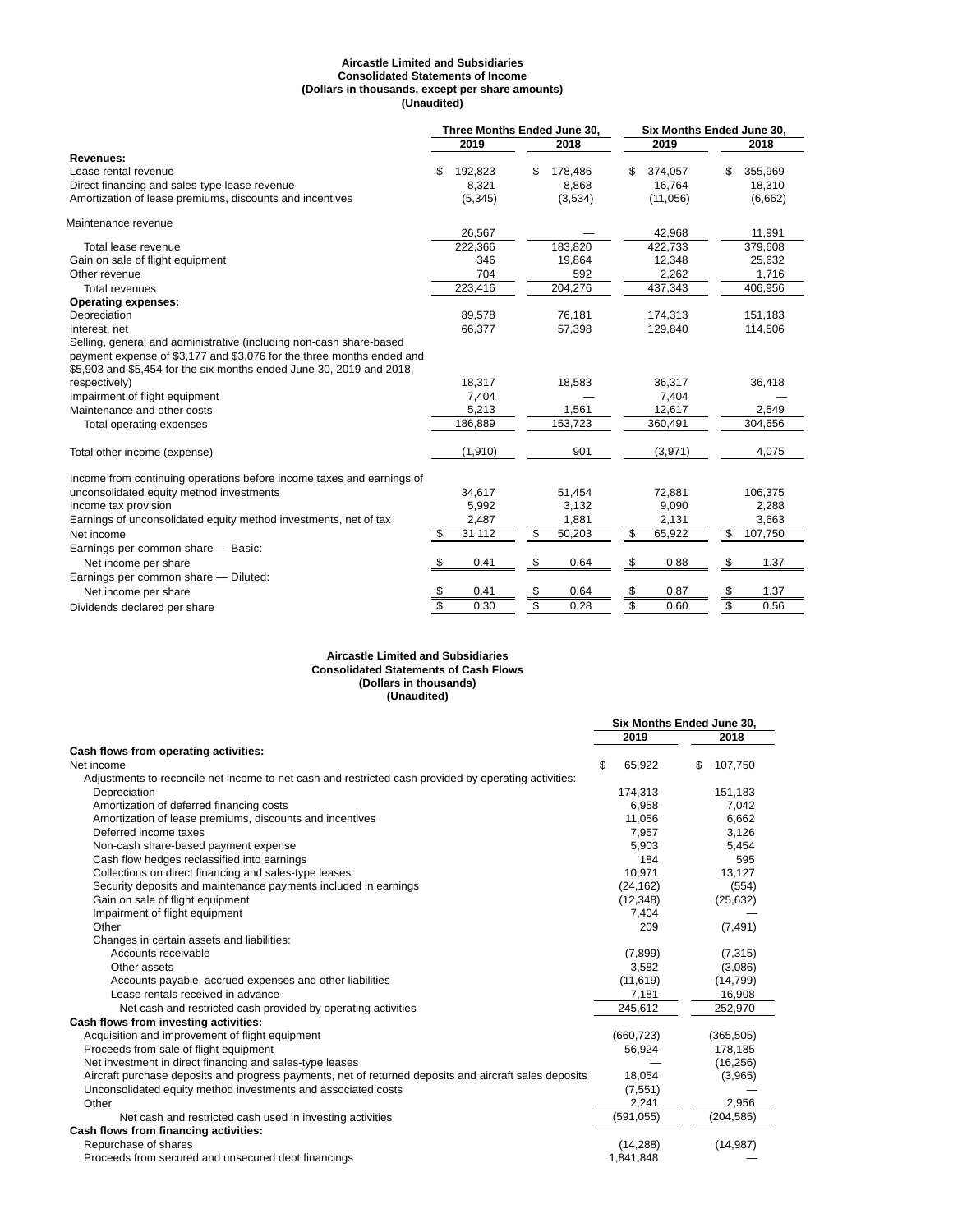# **Aircastle Limited and Subsidiaries Consolidated Statements of Income (Dollars in thousands, except per share amounts) (Unaudited)**

|                                                                       |              | Three Months Ended June 30, | Six Months Ended June 30, |               |  |  |
|-----------------------------------------------------------------------|--------------|-----------------------------|---------------------------|---------------|--|--|
|                                                                       | 2019<br>2018 |                             | 2019                      | 2018          |  |  |
| <b>Revenues:</b>                                                      |              |                             |                           |               |  |  |
| Lease rental revenue                                                  | 192,823      | \$<br>178,486               | 374,057<br>S              | 355,969<br>S  |  |  |
| Direct financing and sales-type lease revenue                         | 8,321        | 8,868                       | 16,764                    | 18,310        |  |  |
| Amortization of lease premiums, discounts and incentives              | (5, 345)     | (3,534)                     | (11,056)                  | (6,662)       |  |  |
| Maintenance revenue                                                   |              |                             |                           |               |  |  |
|                                                                       | 26,567       |                             | 42,968                    | 11,991        |  |  |
| Total lease revenue                                                   | 222,366      | 183,820                     | 422,733                   | 379,608       |  |  |
| Gain on sale of flight equipment                                      | 346          | 19.864                      | 12,348                    | 25,632        |  |  |
| Other revenue                                                         | 704          | 592                         | 2,262                     | 1,716         |  |  |
| Total revenues                                                        | 223,416      | 204,276                     | 437,343                   | 406,956       |  |  |
| <b>Operating expenses:</b>                                            |              |                             |                           |               |  |  |
| Depreciation                                                          | 89,578       | 76,181                      | 174,313                   | 151,183       |  |  |
| Interest, net                                                         | 66,377       | 57,398                      | 129,840                   | 114,506       |  |  |
| Selling, general and administrative (including non-cash share-based   |              |                             |                           |               |  |  |
| payment expense of \$3,177 and \$3,076 for the three months ended and |              |                             |                           |               |  |  |
| \$5,903 and \$5,454 for the six months ended June 30, 2019 and 2018,  |              |                             |                           |               |  |  |
| respectively)                                                         | 18,317       | 18,583                      | 36,317                    | 36,418        |  |  |
| Impairment of flight equipment                                        | 7,404        |                             | 7,404                     |               |  |  |
| Maintenance and other costs                                           | 5,213        | 1,561                       | 12,617                    | 2,549         |  |  |
| Total operating expenses                                              | 186,889      | 153,723                     | 360,491                   | 304,656       |  |  |
| Total other income (expense)                                          | (1,910)      | 901                         | (3,971)                   | 4,075         |  |  |
| Income from continuing operations before income taxes and earnings of |              |                             |                           |               |  |  |
| unconsolidated equity method investments                              | 34,617       | 51,454                      | 72,881                    | 106,375       |  |  |
| Income tax provision                                                  | 5,992        | 3,132                       | 9,090                     | 2,288         |  |  |
| Earnings of unconsolidated equity method investments, net of tax      | 2,487        | 1,881                       | 2,131                     | 3,663         |  |  |
| Net income                                                            | 31,112       | \$<br>50,203                | \$<br>65,922              | \$<br>107,750 |  |  |
| Earnings per common share - Basic:                                    |              |                             |                           |               |  |  |
| Net income per share                                                  | 0.41<br>\$   | 0.64<br>\$                  | \$<br>0.88                | \$<br>1.37    |  |  |
|                                                                       |              |                             |                           |               |  |  |
| Earnings per common share - Diluted:                                  |              |                             |                           |               |  |  |
| Net income per share                                                  | S<br>0.41    | 0.64<br>\$                  | 0.87<br>\$                | 1.37<br>\$    |  |  |
| Dividends declared per share                                          | \$<br>0.30   | \$<br>0.28                  | \$<br>0.60                | \$<br>0.56    |  |  |

### **Aircastle Limited and Subsidiaries Consolidated Statements of Cash Flows (Dollars in thousands) (Unaudited)**

|                                                                                                        |              | Six Months Ended June 30. |
|--------------------------------------------------------------------------------------------------------|--------------|---------------------------|
|                                                                                                        | 2019         | 2018                      |
| Cash flows from operating activities:                                                                  |              |                           |
| Net income                                                                                             | \$<br>65,922 | 107,750<br>S              |
| Adjustments to reconcile net income to net cash and restricted cash provided by operating activities:  |              |                           |
| Depreciation                                                                                           | 174,313      | 151,183                   |
| Amortization of deferred financing costs                                                               | 6,958        | 7,042                     |
| Amortization of lease premiums, discounts and incentives                                               | 11,056       | 6,662                     |
| Deferred income taxes                                                                                  | 7,957        | 3,126                     |
| Non-cash share-based payment expense                                                                   | 5,903        | 5,454                     |
| Cash flow hedges reclassified into earnings                                                            | 184          | 595                       |
| Collections on direct financing and sales-type leases                                                  | 10,971       | 13,127                    |
| Security deposits and maintenance payments included in earnings                                        | (24, 162)    | (554)                     |
| Gain on sale of flight equipment                                                                       | (12, 348)    | (25, 632)                 |
| Impairment of flight equipment                                                                         | 7,404        |                           |
| Other                                                                                                  | 209          | (7, 491)                  |
| Changes in certain assets and liabilities:                                                             |              |                           |
| Accounts receivable                                                                                    | (7,899)      | (7, 315)                  |
| Other assets                                                                                           | 3,582        | (3,086)                   |
| Accounts payable, accrued expenses and other liabilities                                               | (11, 619)    | (14, 799)                 |
| Lease rentals received in advance                                                                      | 7,181        | 16,908                    |
| Net cash and restricted cash provided by operating activities                                          | 245,612      | 252,970                   |
| Cash flows from investing activities:                                                                  |              |                           |
| Acquisition and improvement of flight equipment                                                        | (660, 723)   | (365, 505)                |
| Proceeds from sale of flight equipment                                                                 | 56,924       | 178,185                   |
| Net investment in direct financing and sales-type leases                                               |              | (16, 256)                 |
| Aircraft purchase deposits and progress payments, net of returned deposits and aircraft sales deposits | 18,054       | (3,965)                   |
| Unconsolidated equity method investments and associated costs                                          | (7, 551)     |                           |
| Other                                                                                                  | 2,241        | 2,956                     |
| Net cash and restricted cash used in investing activities                                              | (591, 055)   | (204, 585)                |
| Cash flows from financing activities:                                                                  |              |                           |
| Repurchase of shares                                                                                   | (14, 288)    | (14, 987)                 |
| Proceeds from secured and unsecured debt financings                                                    | 1,841,848    |                           |
|                                                                                                        |              |                           |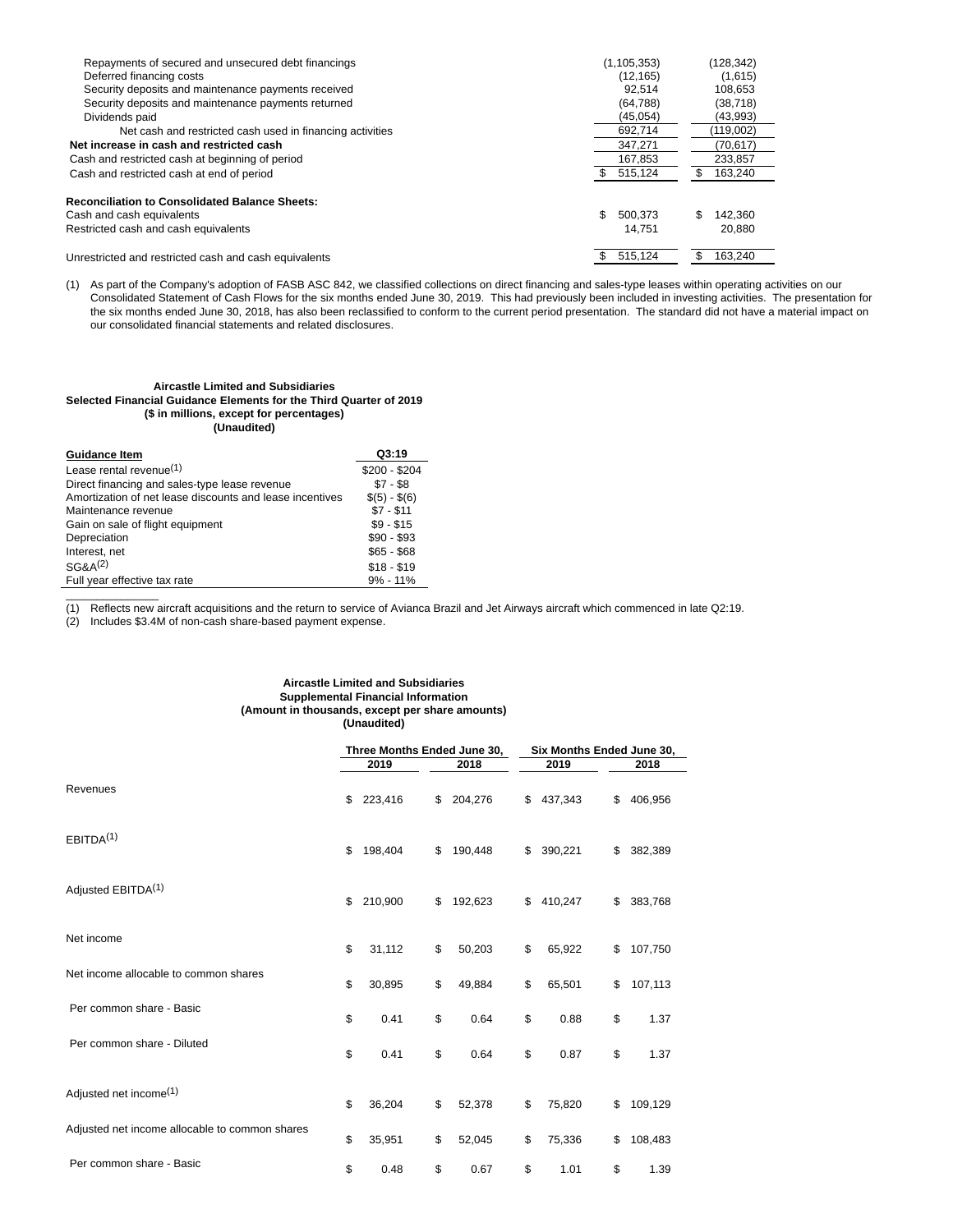| Repayments of secured and unsecured debt financings       | (1, 105, 353) | (128, 342)    |
|-----------------------------------------------------------|---------------|---------------|
| Deferred financing costs                                  | (12, 165)     | (1,615)       |
| Security deposits and maintenance payments received       | 92.514        | 108.653       |
| Security deposits and maintenance payments returned       | (64, 788)     | (38, 718)     |
| Dividends paid                                            | (45, 054)     | (43,993)      |
| Net cash and restricted cash used in financing activities | 692.714       | (119.002)     |
| Net increase in cash and restricted cash                  | 347.271       | (70, 617)     |
| Cash and restricted cash at beginning of period           | 167.853       | 233.857       |
| Cash and restricted cash at end of period                 | £.<br>515.124 | 163.240       |
| Reconciliation to Consolidated Balance Sheets:            |               |               |
| Cash and cash equivalents                                 | \$<br>500.373 | \$<br>142.360 |
| Restricted cash and cash equivalents                      | 14.751        | 20.880        |
| Unrestricted and restricted cash and cash equivalents     | 515.124       | 163.240<br>S  |

(1) As part of the Company's adoption of FASB ASC 842, we classified collections on direct financing and sales-type leases within operating activities on our Consolidated Statement of Cash Flows for the six months ended June 30, 2019. This had previously been included in investing activities. The presentation for the six months ended June 30, 2018, has also been reclassified to conform to the current period presentation. The standard did not have a material impact on our consolidated financial statements and related disclosures.

# **Aircastle Limited and Subsidiaries Selected Financial Guidance Elements for the Third Quarter of 2019 (\$ in millions, except for percentages) (Unaudited)**

| <b>Guidance Item</b>                                     | Q3:19         |
|----------------------------------------------------------|---------------|
| Lease rental revenue $(1)$                               | $$200 - $204$ |
| Direct financing and sales-type lease revenue            | $$7 - $8$     |
| Amortization of net lease discounts and lease incentives | $$(5) - $(6)$ |
| Maintenance revenue                                      | $$7 - $11$    |
| Gain on sale of flight equipment                         | $$9 - $15$    |
| Depreciation                                             | $$90 - $93$   |
| Interest, net                                            | $$65 - $68$   |
| SG&A <sup>(2)</sup>                                      | $$18 - $19$   |
| Full year effective tax rate                             | $9\% - 11\%$  |

(1) Reflects new aircraft acquisitions and the return to service of Avianca Brazil and Jet Airways aircraft which commenced in late Q2:19.

(2) Includes \$3.4M of non-cash share-based payment expense.

 $\overline{\phantom{a}}$ 

# **Aircastle Limited and Subsidiaries Supplemental Financial Information (Amount in thousands, except per share amounts) (Unaudited)**

|                                                | Three Months Ended June 30, |    |         |    | Six Months Ended June 30, |    |         |  |  |
|------------------------------------------------|-----------------------------|----|---------|----|---------------------------|----|---------|--|--|
|                                                | 2019                        |    | 2018    |    | 2019                      |    | 2018    |  |  |
| Revenues                                       | \$<br>223,416               | \$ | 204,276 | \$ | 437,343                   | \$ | 406,956 |  |  |
| EBITDA <sup>(1)</sup>                          | \$<br>198,404               | \$ | 190,448 | \$ | 390,221                   | \$ | 382,389 |  |  |
| Adjusted EBITDA <sup>(1)</sup>                 | \$<br>210,900               | \$ | 192,623 | \$ | 410,247                   | \$ | 383,768 |  |  |
| Net income                                     | \$<br>31,112                | \$ | 50,203  | \$ | 65,922                    | \$ | 107,750 |  |  |
| Net income allocable to common shares          | \$<br>30,895                | \$ | 49,884  | \$ | 65,501                    | \$ | 107,113 |  |  |
| Per common share - Basic                       | \$<br>0.41                  | \$ | 0.64    | \$ | 0.88                      | \$ | 1.37    |  |  |
| Per common share - Diluted                     | \$<br>0.41                  | \$ | 0.64    | \$ | 0.87                      | \$ | 1.37    |  |  |
| Adjusted net income <sup>(1)</sup>             | \$<br>36,204                | \$ | 52,378  | \$ | 75,820                    | \$ | 109,129 |  |  |
| Adjusted net income allocable to common shares | \$<br>35,951                | \$ | 52,045  | \$ | 75,336                    | \$ | 108,483 |  |  |
| Per common share - Basic                       | \$<br>0.48                  | \$ | 0.67    | \$ | 1.01                      | \$ | 1.39    |  |  |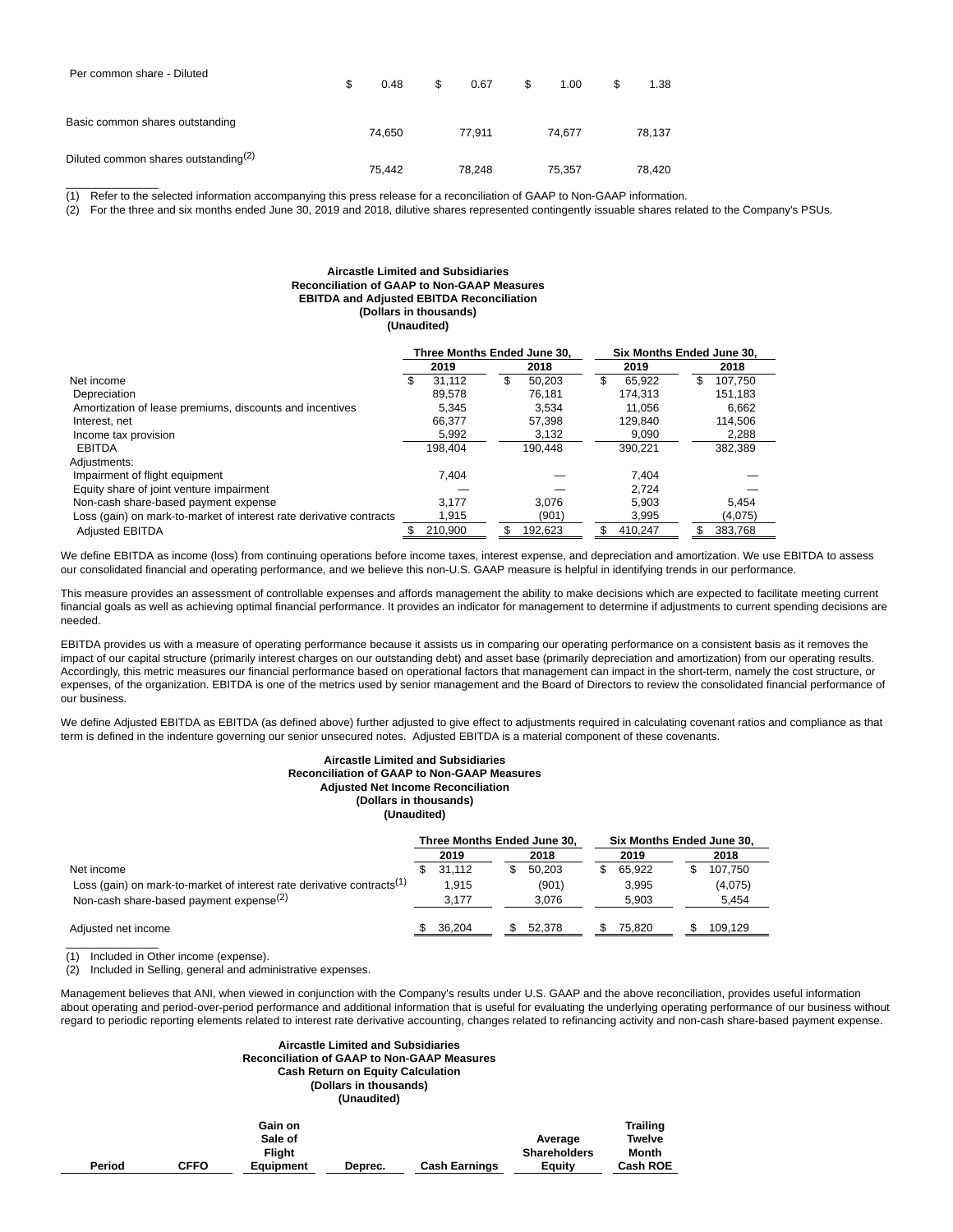| Per common share - Diluted                       | \$<br>0.48 | \$<br>0.67 | \$<br>1.00 | S | 1.38   |
|--------------------------------------------------|------------|------------|------------|---|--------|
| Basic common shares outstanding                  | 74,650     | 77.911     | 74.677     |   | 78,137 |
| Diluted common shares outstanding <sup>(2)</sup> | 75.442     | 78.248     | 75.357     |   | 78,420 |

(1) Refer to the selected information accompanying this press release for a reconciliation of GAAP to Non-GAAP information.

(2) For the three and six months ended June 30, 2019 and 2018, dilutive shares represented contingently issuable shares related to the Company's PSUs.

#### **Aircastle Limited and Subsidiaries Reconciliation of GAAP to Non-GAAP Measures EBITDA and Adjusted EBITDA Reconciliation (Dollars in thousands) (Unaudited)**

| (Unaudited) |  |
|-------------|--|
|             |  |
|             |  |

|                                                                     |             | Three Months Ended June 30. |                | Six Months Ended June 30. |
|---------------------------------------------------------------------|-------------|-----------------------------|----------------|---------------------------|
|                                                                     | 2019        | 2018                        | 2019           | 2018                      |
| Net income                                                          | 31.112<br>S | \$<br>50.203                | \$<br>65.922   | \$<br>107.750             |
| Depreciation                                                        | 89.578      | 76.181                      | 174.313        | 151.183                   |
| Amortization of lease premiums, discounts and incentives            | 5,345       | 3,534                       | 11.056         | 6,662                     |
| Interest, net                                                       | 66.377      | 57.398                      | 129.840        | 114.506                   |
| Income tax provision                                                | 5.992       | 3,132                       | 9.090          | 2,288                     |
| <b>EBITDA</b>                                                       | 198.404     | 190.448                     | 390.221        | 382,389                   |
| Adjustments:                                                        |             |                             |                |                           |
| Impairment of flight equipment                                      | 7.404       |                             | 7.404          |                           |
| Equity share of joint venture impairment                            |             |                             | 2.724          |                           |
| Non-cash share-based payment expense                                | 3.177       | 3.076                       | 5,903          | 5.454                     |
| Loss (gain) on mark-to-market of interest rate derivative contracts | 1.915       | (901)                       | 3.995          | (4,075)                   |
| <b>Adiusted EBITDA</b>                                              | 210.900     | 192.623<br>\$               | \$.<br>410.247 | \$<br>383.768             |

We define EBITDA as income (loss) from continuing operations before income taxes, interest expense, and depreciation and amortization. We use EBITDA to assess our consolidated financial and operating performance, and we believe this non-U.S. GAAP measure is helpful in identifying trends in our performance.

This measure provides an assessment of controllable expenses and affords management the ability to make decisions which are expected to facilitate meeting current financial goals as well as achieving optimal financial performance. It provides an indicator for management to determine if adjustments to current spending decisions are needed.

EBITDA provides us with a measure of operating performance because it assists us in comparing our operating performance on a consistent basis as it removes the impact of our capital structure (primarily interest charges on our outstanding debt) and asset base (primarily depreciation and amortization) from our operating results. Accordingly, this metric measures our financial performance based on operational factors that management can impact in the short-term, namely the cost structure, or expenses, of the organization. EBITDA is one of the metrics used by senior management and the Board of Directors to review the consolidated financial performance of our business.

We define Adjusted EBITDA as EBITDA (as defined above) further adjusted to give effect to adjustments required in calculating covenant ratios and compliance as that term is defined in the indenture governing our senior unsecured notes. Adjusted EBITDA is a material component of these covenants.

### **Aircastle Limited and Subsidiaries Reconciliation of GAAP to Non-GAAP Measures Adjusted Net Income Reconciliation (Dollars in thousands) (Unaudited)**

|                                                                                    | Three Months Ended June 30, |        |  |        | Six Months Ended June 30. |        |  |         |
|------------------------------------------------------------------------------------|-----------------------------|--------|--|--------|---------------------------|--------|--|---------|
|                                                                                    |                             | 2019   |  | 2018   | 2019                      |        |  | 2018    |
| Net income                                                                         | \$.                         | 31.112 |  | 50.203 |                           | 65.922 |  | 107.750 |
| Loss (gain) on mark-to-market of interest rate derivative contracts <sup>(1)</sup> |                             | 1.915  |  | (901)  |                           | 3.995  |  | (4,075) |
| Non-cash share-based payment expense <sup>(2)</sup>                                |                             | 3.177  |  | 3.076  |                           | 5.903  |  | 5.454   |
| Adjusted net income                                                                |                             | 36.204 |  | 52.378 |                           | 75.820 |  | 109.129 |
|                                                                                    |                             |        |  |        |                           |        |  |         |

(1) Included in Other income (expense).

(2) Included in Selling, general and administrative expenses.

Management believes that ANI, when viewed in conjunction with the Company's results under U.S. GAAP and the above reconciliation, provides useful information about operating and period-over-period performance and additional information that is useful for evaluating the underlying operating performance of our business without regard to periodic reporting elements related to interest rate derivative accounting, changes related to refinancing activity and non-cash share-based payment expense.

## **Aircastle Limited and Subsidiaries Reconciliation of GAAP to Non-GAAP Measures Cash Return on Equity Calculation (Dollars in thousands) (Unaudited)**

|        |      | Gain on          |         |                      |                     | <b>Trailing</b> |
|--------|------|------------------|---------|----------------------|---------------------|-----------------|
|        |      | Sale of          |         |                      | Average             | Twelve          |
|        |      | <b>Flight</b>    |         |                      | <b>Shareholders</b> | Month           |
| Period | CFFO | <b>Equipment</b> | Deprec. | <b>Cash Earnings</b> | Eauity              | <b>Cash ROE</b> |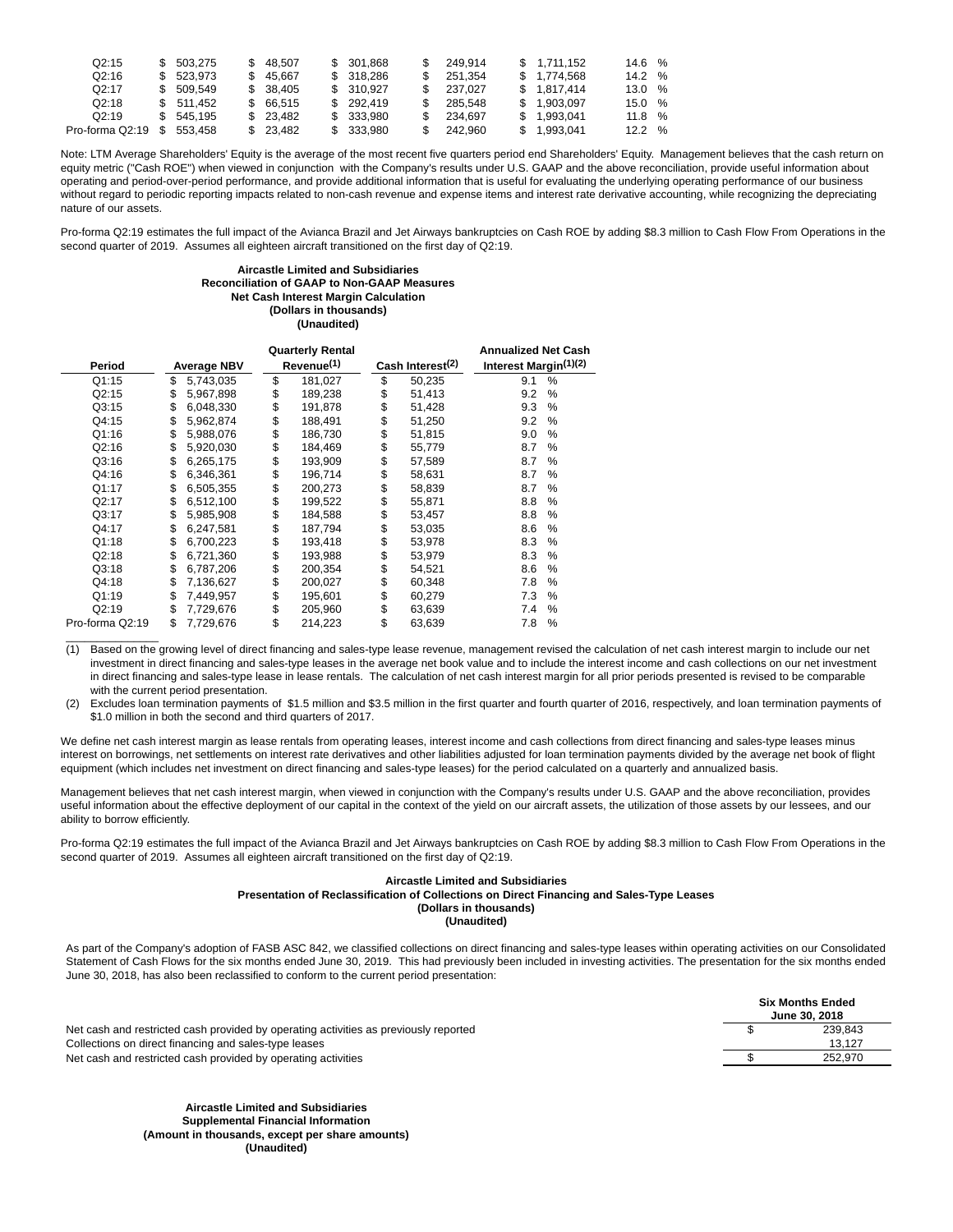| Q2:15           |      | 503.275    | \$. | 48.507    | \$ 301.868 |     | 249.914 | \$1.711.152  | 14.6%  |  |
|-----------------|------|------------|-----|-----------|------------|-----|---------|--------------|--------|--|
| Q2:16           |      | \$ 523.973 |     | \$45.667  | \$ 318,286 | \$. | 251.354 | \$1.774.568  | 14.2 % |  |
| Q2:17           |      | \$ 509.549 |     | \$38.405  | \$ 310,927 | \$. | 237.027 | \$ 1.817.414 | 13.0 % |  |
| Q2:18           |      | \$511.452  |     | \$ 66.515 | \$292.419  | S.  | 285.548 | \$ 1.903.097 | 15.0 % |  |
| Q2:19           | SS.  | 545.195    |     | \$23.482  | \$ 333,980 |     | 234.697 | \$ 1.993.041 | 11.8 % |  |
| Pro-forma Q2:19 | - \$ | 553.458    |     | \$23.482  | \$ 333,980 |     | 242.960 | \$ 1.993.041 | 12.2 % |  |
|                 |      |            |     |           |            |     |         |              |        |  |

Note: LTM Average Shareholders' Equity is the average of the most recent five quarters period end Shareholders' Equity. Management believes that the cash return on equity metric ("Cash ROE") when viewed in conjunction with the Company's results under U.S. GAAP and the above reconciliation, provide useful information about operating and period-over-period performance, and provide additional information that is useful for evaluating the underlying operating performance of our business without regard to periodic reporting impacts related to non-cash revenue and expense items and interest rate derivative accounting, while recognizing the depreciating nature of our assets.

Pro-forma Q2:19 estimates the full impact of the Avianca Brazil and Jet Airways bankruptcies on Cash ROE by adding \$8.3 million to Cash Flow From Operations in the second quarter of 2019. Assumes all eighteen aircraft transitioned on the first day of Q2:19.

### **Aircastle Limited and Subsidiaries Reconciliation of GAAP to Non-GAAP Measures Net Cash Interest Margin Calculation (Dollars in thousands)**

**(Unaudited)**

| Period          | <b>Average NBV</b> | <b>Quarterly Rental</b><br>Revenue <sup>(1)</sup> | Cash Interest <sup>(2)</sup> | <b>Annualized Net Cash</b><br>Interest Margin <sup>(1)(2)</sup> |      |
|-----------------|--------------------|---------------------------------------------------|------------------------------|-----------------------------------------------------------------|------|
| Q1:15           | \$<br>5,743,035    | \$<br>181,027                                     | \$<br>50,235                 | 9.1                                                             | %    |
| Q2:15           | \$<br>5.967.898    | \$<br>189,238                                     | \$<br>51,413                 | 9.2                                                             | %    |
| Q3:15           | \$<br>6,048,330    | \$<br>191,878                                     | \$<br>51,428                 | 9.3                                                             | $\%$ |
| Q4:15           | \$<br>5,962,874    | \$<br>188,491                                     | \$<br>51,250                 | 9.2                                                             | %    |
| Q1:16           | \$<br>5,988,076    | \$<br>186,730                                     | \$<br>51,815                 | 9.0                                                             | ℅    |
| Q2:16           | \$<br>5,920,030    | \$<br>184,469                                     | \$<br>55,779                 | 8.7                                                             | $\%$ |
| Q3:16           | \$<br>6,265,175    | \$<br>193,909                                     | \$<br>57,589                 | 8.7                                                             | $\%$ |
| Q4:16           | \$<br>6.346.361    | \$<br>196.714                                     | \$<br>58,631                 | 8.7                                                             | $\%$ |
| Q1:17           | \$<br>6,505,355    | \$<br>200,273                                     | \$<br>58,839                 | 8.7                                                             | %    |
| Q2:17           | \$<br>6,512,100    | \$<br>199,522                                     | \$<br>55,871                 | 8.8                                                             | $\%$ |
| Q3:17           | \$<br>5,985,908    | \$<br>184,588                                     | \$<br>53,457                 | 8.8                                                             | $\%$ |
| Q4:17           | \$<br>6,247,581    | \$<br>187,794                                     | \$<br>53,035                 | 8.6                                                             | $\%$ |
| Q1:18           | \$<br>6,700,223    | \$<br>193,418                                     | \$<br>53,978                 | 8.3                                                             | %    |
| Q2:18           | \$<br>6,721,360    | \$<br>193,988                                     | \$<br>53,979                 | 8.3                                                             | $\%$ |
| Q3:18           | \$<br>6,787,206    | \$<br>200.354                                     | \$<br>54.521                 | 8.6                                                             | $\%$ |
| Q4:18           | \$<br>7,136,627    | \$<br>200,027                                     | \$<br>60,348                 | 7.8                                                             | $\%$ |
| Q1:19           | \$<br>7,449,957    | \$<br>195,601                                     | \$<br>60,279                 | 7.3                                                             | %    |
| Q2:19           | \$<br>7,729,676    | \$<br>205,960                                     | \$<br>63,639                 | 7.4                                                             | %    |
| Pro-forma Q2:19 | \$<br>7.729.676    | \$<br>214,223                                     | \$<br>63,639                 | 7.8                                                             | %    |

 $\overline{\phantom{a}}$ (1) Based on the growing level of direct financing and sales-type lease revenue, management revised the calculation of net cash interest margin to include our net investment in direct financing and sales-type leases in the average net book value and to include the interest income and cash collections on our net investment in direct financing and sales-type lease in lease rentals. The calculation of net cash interest margin for all prior periods presented is revised to be comparable with the current period presentation.

(2) Excludes loan termination payments of \$1.5 million and \$3.5 million in the first quarter and fourth quarter of 2016, respectively, and loan termination payments of \$1.0 million in both the second and third quarters of 2017.

We define net cash interest margin as lease rentals from operating leases, interest income and cash collections from direct financing and sales-type leases minus interest on borrowings, net settlements on interest rate derivatives and other liabilities adjusted for loan termination payments divided by the average net book of flight equipment (which includes net investment on direct financing and sales-type leases) for the period calculated on a quarterly and annualized basis.

Management believes that net cash interest margin, when viewed in conjunction with the Company's results under U.S. GAAP and the above reconciliation, provides useful information about the effective deployment of our capital in the context of the yield on our aircraft assets, the utilization of those assets by our lessees, and our ability to borrow efficiently.

Pro-forma Q2:19 estimates the full impact of the Avianca Brazil and Jet Airways bankruptcies on Cash ROE by adding \$8.3 million to Cash Flow From Operations in the second quarter of 2019. Assumes all eighteen aircraft transitioned on the first day of Q2:19.

#### **Aircastle Limited and Subsidiaries Presentation of Reclassification of Collections on Direct Financing and Sales-Type Leases (Dollars in thousands) (Unaudited)**

As part of the Company's adoption of FASB ASC 842, we classified collections on direct financing and sales-type leases within operating activities on our Consolidated Statement of Cash Flows for the six months ended June 30, 2019. This had previously been included in investing activities. The presentation for the six months ended June 30, 2018, has also been reclassified to conform to the current period presentation:

|                                                                                      | <b>Six Months Ended</b><br>June 30, 2018 |
|--------------------------------------------------------------------------------------|------------------------------------------|
| Net cash and restricted cash provided by operating activities as previously reported | 239.843                                  |
| Collections on direct financing and sales-type leases                                | 13.127                                   |
| Net cash and restricted cash provided by operating activities                        | 252.970                                  |

**Aircastle Limited and Subsidiaries Supplemental Financial Information (Amount in thousands, except per share amounts) (Unaudited)**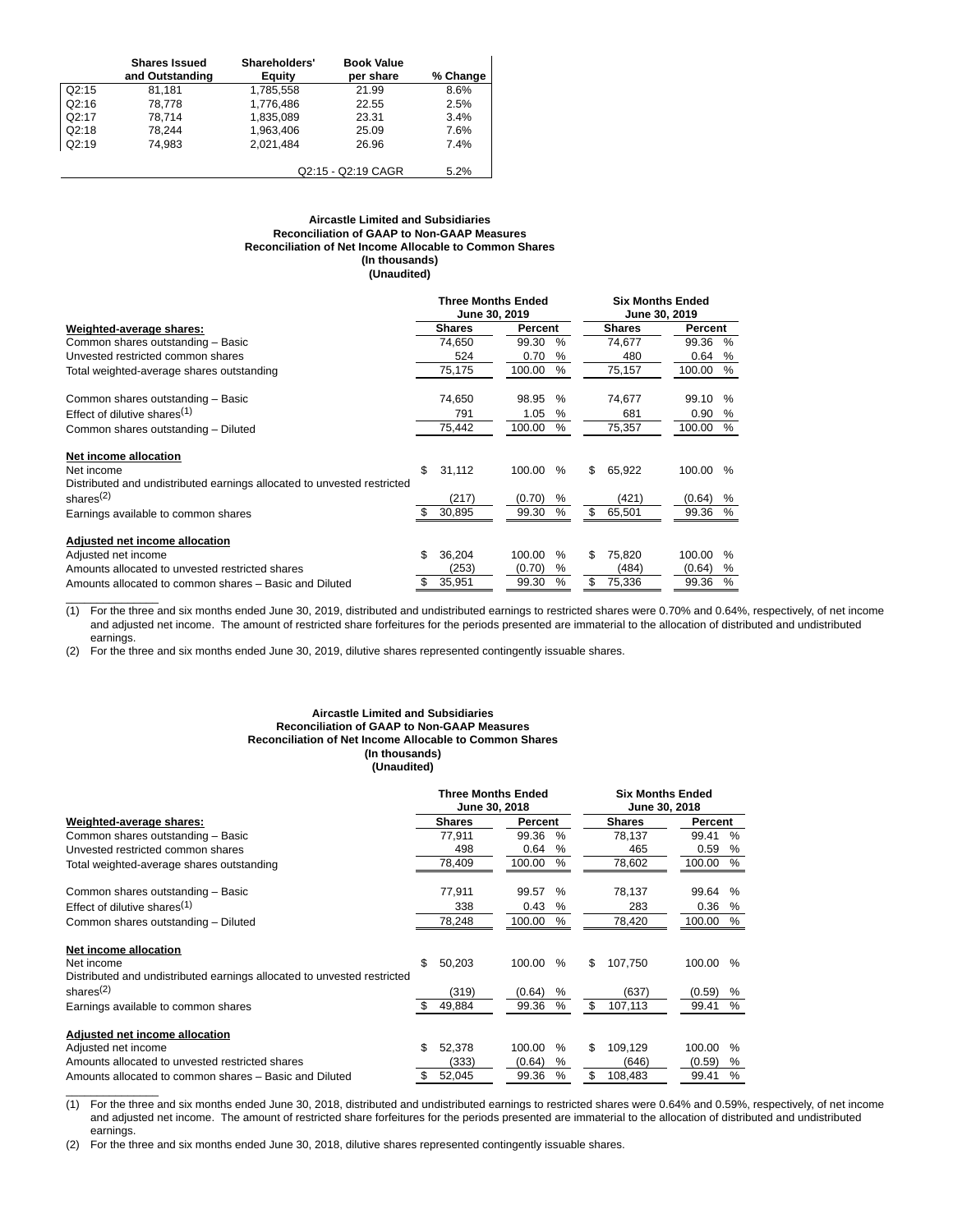|       | <b>Shares Issued</b><br>and Outstanding | Shareholders'<br>Equity | <b>Book Value</b><br>per share | % Change |
|-------|-----------------------------------------|-------------------------|--------------------------------|----------|
| Q2:15 | 81.181                                  | 1.785.558               | 21.99                          | 8.6%     |
| Q2:16 | 78.778                                  | 1,776,486               | 22.55                          | 2.5%     |
| Q2:17 | 78.714                                  | 1,835,089               | 23.31                          | 3.4%     |
| Q2:18 | 78.244                                  | 1,963,406               | 25.09                          | 7.6%     |
| Q2:19 | 74.983                                  | 2.021.484               | 26.96                          | 7.4%     |
|       |                                         | Q2:15 - Q2:19 CAGR      | 5.2%                           |          |

### **Aircastle Limited and Subsidiaries Reconciliation of GAAP to Non-GAAP Measures Reconciliation of Net Income Allocable to Common Shares (In thousands) (Unaudited)**

|                                                                         |               | <b>Three Months Ended</b><br>June 30, 2019 | <b>Six Months Ended</b><br>June 30, 2019 |                |  |  |
|-------------------------------------------------------------------------|---------------|--------------------------------------------|------------------------------------------|----------------|--|--|
| Weighted-average shares:                                                | <b>Shares</b> | Percent                                    | <b>Shares</b>                            | Percent        |  |  |
| Common shares outstanding - Basic                                       | 74,650        | 99.30<br>$\%$                              | 74.677                                   | 99.36<br>$\%$  |  |  |
| Unvested restricted common shares                                       | 524           | 0.70<br>%                                  | 480                                      | 0.64<br>%      |  |  |
| Total weighted-average shares outstanding                               | 75,175        | $\%$<br>100.00                             | 75,157                                   | 100.00<br>$\%$ |  |  |
| Common shares outstanding - Basic                                       | 74,650        | 98.95<br>%                                 | 74,677                                   | 99.10<br>%     |  |  |
| Effect of dilutive shares <sup>(1)</sup>                                | 791           | 1.05<br>%                                  | 681                                      | 0.90<br>%      |  |  |
| Common shares outstanding - Diluted                                     | 75,442        | 100.00<br>%                                | 75,357                                   | 100.00<br>%    |  |  |
| Net income allocation                                                   |               |                                            |                                          |                |  |  |
| Net income                                                              | \$<br>31,112  | 100.00<br>$\%$                             | \$<br>65,922                             | 100.00<br>%    |  |  |
| Distributed and undistributed earnings allocated to unvested restricted |               |                                            |                                          |                |  |  |
| shares $(2)$                                                            | (217)         | (0.70)<br>%                                | (421)                                    | (0.64)<br>%    |  |  |
| Earnings available to common shares                                     | 30,895        | %<br>99.30                                 | 65,501<br>S                              | 99.36<br>%     |  |  |
| Adjusted net income allocation                                          |               |                                            |                                          |                |  |  |
| Adjusted net income                                                     | \$<br>36,204  | 100.00<br>$\%$                             | 75,820<br>\$.                            | 100.00<br>%    |  |  |
| Amounts allocated to unvested restricted shares                         | (253)         | (0.70)<br>%                                | (484)                                    | (0.64)<br>%    |  |  |
| Amounts allocated to common shares - Basic and Diluted                  | 35,951<br>\$  | %<br>99.30                                 | \$<br>75,336                             | 99.36<br>$\%$  |  |  |

(1) For the three and six months ended June 30, 2019, distributed and undistributed earnings to restricted shares were 0.70% and 0.64%, respectively, of net income and adjusted net income. The amount of restricted share forfeitures for the periods presented are immaterial to the allocation of distributed and undistributed earnings.

(2) For the three and six months ended June 30, 2019, dilutive shares represented contingently issuable shares.

 $\overline{\phantom{a}}$ 

# **Aircastle Limited and Subsidiaries Reconciliation of GAAP to Non-GAAP Measures Reconciliation of Net Income Allocable to Common Shares (In thousands)**

**(Unaudited)**

|                                                                         | <b>Three Months Ended</b><br>June 30, 2018 |        |         |        |               | <b>Six Months Ended</b><br>June 30, 2018 |         |        |      |
|-------------------------------------------------------------------------|--------------------------------------------|--------|---------|--------|---------------|------------------------------------------|---------|--------|------|
| Weighted-average shares:                                                | <b>Shares</b>                              |        | Percent |        | <b>Shares</b> |                                          | Percent |        |      |
| Common shares outstanding - Basic                                       |                                            | 77,911 |         | 99.36  | $\%$          |                                          | 78.137  | 99.41  | $\%$ |
| Unvested restricted common shares                                       |                                            | 498    |         | 0.64   | $\%$          |                                          | 465     | 0.59   | %    |
| Total weighted-average shares outstanding                               |                                            | 78,409 |         | 100.00 | $\%$          |                                          | 78,602  | 100.00 | $\%$ |
| Common shares outstanding - Basic                                       |                                            | 77,911 |         | 99.57  | $\%$          |                                          | 78,137  | 99.64  | $\%$ |
| Effect of dilutive shares <sup>(1)</sup>                                |                                            | 338    |         | 0.43   | $\%$          |                                          | 283     | 0.36   | %    |
| Common shares outstanding - Diluted                                     |                                            | 78,248 |         | 100.00 | %             |                                          | 78,420  | 100.00 | %    |
| Net income allocation                                                   |                                            |        |         |        |               |                                          |         |        |      |
| Net income                                                              | \$                                         | 50,203 |         | 100.00 | $\%$          | \$                                       | 107,750 | 100.00 | $\%$ |
| Distributed and undistributed earnings allocated to unvested restricted |                                            |        |         |        |               |                                          |         |        |      |
| shares $(2)$                                                            |                                            | (319)  |         | (0.64) | %             |                                          | (637)   | (0.59) | %    |
| Earnings available to common shares                                     |                                            | 49,884 |         | 99.36  | %             | \$                                       | 107,113 | 99.41  | %    |
| Adjusted net income allocation                                          |                                            |        |         |        |               |                                          |         |        |      |
| Adjusted net income                                                     | \$                                         | 52,378 |         | 100.00 | $\%$          | \$                                       | 109.129 | 100.00 | $\%$ |
| Amounts allocated to unvested restricted shares                         |                                            | (333)  |         | (0.64) | %             |                                          | (646)   | (0.59) | %    |
| Amounts allocated to common shares - Basic and Diluted                  |                                            | 52,045 |         | 99.36  | $\frac{0}{0}$ | \$                                       | 108,483 | 99.41  | $\%$ |
|                                                                         |                                            |        |         |        |               |                                          |         |        |      |

(1) For the three and six months ended June 30, 2018, distributed and undistributed earnings to restricted shares were 0.64% and 0.59%, respectively, of net income and adjusted net income. The amount of restricted share forfeitures for the periods presented are immaterial to the allocation of distributed and undistributed earnings.

(2) For the three and six months ended June 30, 2018, dilutive shares represented contingently issuable shares.